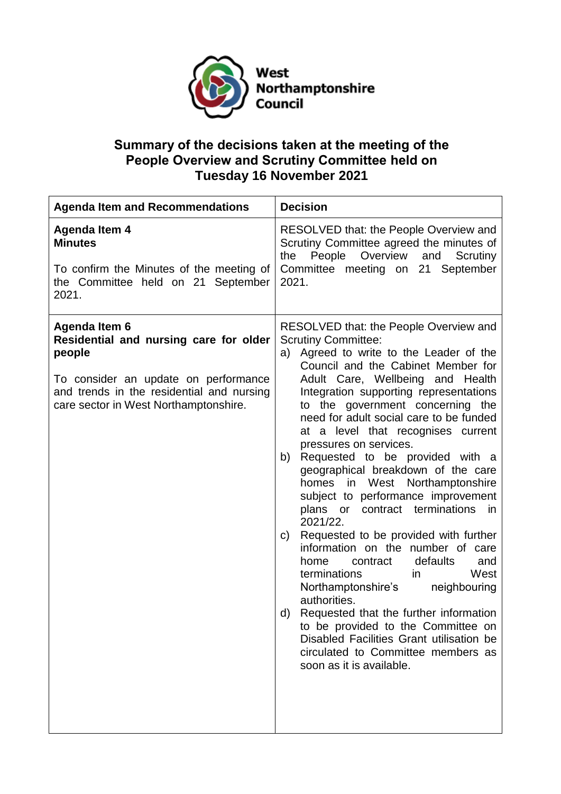

## **Summary of the decisions taken at the meeting of the People Overview and Scrutiny Committee held on Tuesday 16 November 2021**

| <b>Agenda Item and Recommendations</b>                                                                                                                                                          | <b>Decision</b>                                                                                                                                                                                                                                                                                                                                                                                                                                                                                                                                                                                                                                                                                                                                                                                                                                                                                                                                                                                                         |
|-------------------------------------------------------------------------------------------------------------------------------------------------------------------------------------------------|-------------------------------------------------------------------------------------------------------------------------------------------------------------------------------------------------------------------------------------------------------------------------------------------------------------------------------------------------------------------------------------------------------------------------------------------------------------------------------------------------------------------------------------------------------------------------------------------------------------------------------------------------------------------------------------------------------------------------------------------------------------------------------------------------------------------------------------------------------------------------------------------------------------------------------------------------------------------------------------------------------------------------|
| <b>Agenda Item 4</b><br><b>Minutes</b><br>To confirm the Minutes of the meeting of<br>the Committee held on 21 September<br>2021.                                                               | RESOLVED that: the People Overview and<br>Scrutiny Committee agreed the minutes of<br>Overview<br>People<br>and<br>Scrutiny<br>the<br>Committee meeting on 21 September<br>2021.                                                                                                                                                                                                                                                                                                                                                                                                                                                                                                                                                                                                                                                                                                                                                                                                                                        |
| Agenda Item 6<br>Residential and nursing care for older<br>people<br>To consider an update on performance<br>and trends in the residential and nursing<br>care sector in West Northamptonshire. | RESOLVED that: the People Overview and<br><b>Scrutiny Committee:</b><br>Agreed to write to the Leader of the<br>a)<br>Council and the Cabinet Member for<br>Adult Care, Wellbeing and Health<br>Integration supporting representations<br>to the government concerning the<br>need for adult social care to be funded<br>at a level that recognises current<br>pressures on services.<br>Requested to be provided with a<br>b)<br>geographical breakdown of the care<br>homes in West Northamptonshire<br>subject to performance improvement<br>contract terminations<br>plans or<br>in.<br>2021/22.<br>Requested to be provided with further<br>C)<br>information on the number of care<br>defaults<br>home<br>contract<br>and<br>terminations<br>West<br>in<br>Northamptonshire's<br>neighbouring<br>authorities.<br>Requested that the further information<br>d)<br>to be provided to the Committee on<br>Disabled Facilities Grant utilisation be<br>circulated to Committee members as<br>soon as it is available. |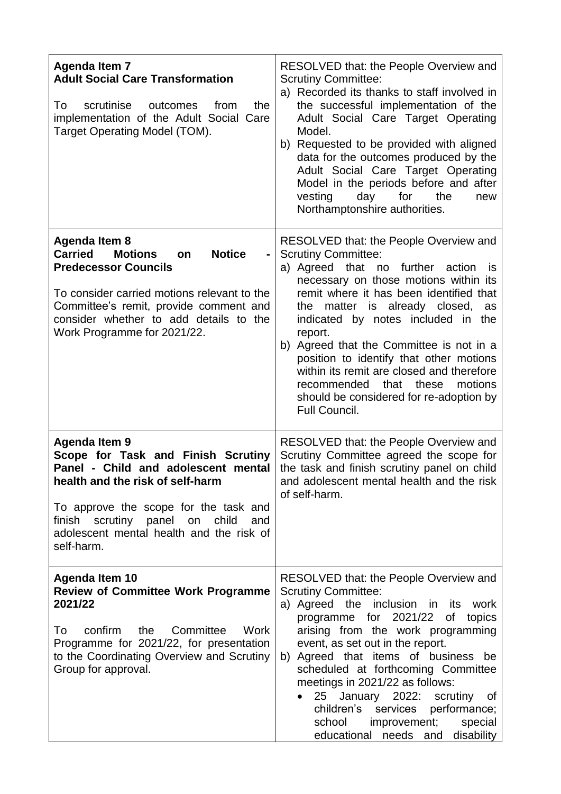| <b>Agenda Item 7</b><br><b>Adult Social Care Transformation</b><br>the<br>scrutinise<br>To<br>outcomes<br>from<br>implementation of the Adult Social Care<br>Target Operating Model (TOM).                                                                                       | <b>RESOLVED that: the People Overview and</b><br><b>Scrutiny Committee:</b><br>a) Recorded its thanks to staff involved in<br>the successful implementation of the<br>Adult Social Care Target Operating<br>Model.<br>b) Requested to be provided with aligned<br>data for the outcomes produced by the<br>Adult Social Care Target Operating<br>Model in the periods before and after<br>vesting<br>day<br>for<br>the<br>new<br>Northamptonshire authorities.                                                                             |
|----------------------------------------------------------------------------------------------------------------------------------------------------------------------------------------------------------------------------------------------------------------------------------|--------------------------------------------------------------------------------------------------------------------------------------------------------------------------------------------------------------------------------------------------------------------------------------------------------------------------------------------------------------------------------------------------------------------------------------------------------------------------------------------------------------------------------------------|
| <b>Agenda Item 8</b><br><b>Carried</b><br><b>Notice</b><br><b>Motions</b><br>on<br><b>Predecessor Councils</b><br>To consider carried motions relevant to the<br>Committee's remit, provide comment and<br>consider whether to add details to the<br>Work Programme for 2021/22. | <b>RESOLVED that: the People Overview and</b><br><b>Scrutiny Committee:</b><br>a) Agreed that no further<br>action<br>is.<br>necessary on those motions within its<br>remit where it has been identified that<br>the matter is already closed,<br>as<br>indicated by notes included in the<br>report.<br>b) Agreed that the Committee is not in a<br>position to identify that other motions<br>within its remit are closed and therefore<br>recommended that these<br>motions<br>should be considered for re-adoption by<br>Full Council. |
| Agenda Item 9<br>Scope for Task and Finish Scrutiny<br>Panel - Child and adolescent mental<br>health and the risk of self-harm<br>To approve the scope for the task and<br>finish scrutiny panel on child<br>and<br>adolescent mental health and the risk of<br>self-harm.       | <b>RESOLVED that: the People Overview and</b><br>Scrutiny Committee agreed the scope for<br>the task and finish scrutiny panel on child<br>and adolescent mental health and the risk<br>of self-harm.                                                                                                                                                                                                                                                                                                                                      |
| <b>Agenda Item 10</b><br><b>Review of Committee Work Programme</b><br>2021/22<br>confirm<br>the<br>Committee<br>To<br>Work<br>Programme for 2021/22, for presentation<br>to the Coordinating Overview and Scrutiny<br>Group for approval.                                        | RESOLVED that: the People Overview and<br><b>Scrutiny Committee:</b><br>a) Agreed the inclusion in its work<br>programme for 2021/22 of topics<br>arising from the work programming<br>event, as set out in the report.<br>b) Agreed that items of business be<br>scheduled at forthcoming Committee<br>meetings in 2021/22 as follows:<br>25 January 2022: scrutiny of<br>children's<br>services<br>performance;<br>school<br>improvement;<br>special<br>educational needs and disability                                                 |